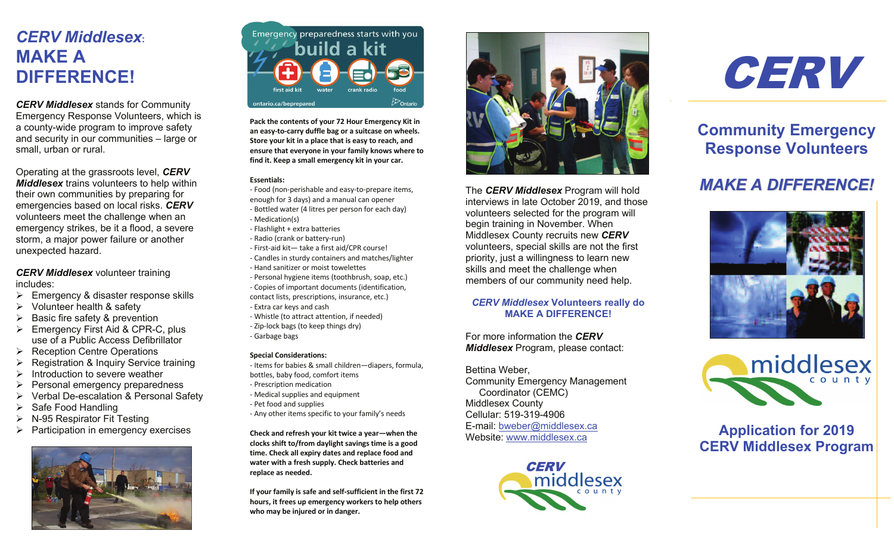# WANE A<br>DIFFERENCE! *CERV Middlesex***: MAKE A**

a county-wide program to improve safety<br>and against in our communities alorse or **Response Volunteers** small, urban or rural. *CERV Middlesex* stands for Community Emergency Response Volunteers, which is and security in our communities – large or

*Middlesex* trains volunteers to help within<br>their own communities by prenaring for Operating at the grassroots level, *CERV*  their own communities by preparing for emergencies based on local risks. *CERV* volunteers meet the challenge when an emergency strikes, be it a flood, a severe storm, a major power failure or another unexpected hazard.

*CERV Middlesex* volunteer training includes:

- $\triangleright$  Emergency & disaster response skills
- $\triangleright$  Volunteer health & safety
- Basic fire safety & prevention
- Emergency First Aid & CPR-C, plus use of a Public Access Defibrillator
- $\triangleright$  Reception Centre Operations
- $\triangleright$  Registration & Inquiry Service training
- $\triangleright$  Introduction to severe weather
- $\triangleright$  Personal emergency preparedness
- Ø Verbal De-escalation & Personal Safety
- $\triangleright$  Safe Food Handling
- $\triangleright$  N-95 Respirator Fit Testing
- **Application for 2019** Ø Participation in emergency exercises





Pack the contents of your 72 Hour Emergency Kit in an easy-to-carry duffle bag or a suitcase on wheels.<br> **an easy-to-carry duffle bag or a suitcase on wheels.**<br> **Store your kit in a place that is easy to reach, and** Store your kit in a place that is easy to reach, and ensure that everyone in your family knows where to **find it. Keep a small emergency kit in your car.**

### Operating at the grassroots level, *CERV*  **Essentials:**

- **Essentiais:**<br>- Food (non-perishable and easy-to-prepare items, *Food (non-perishable and easy-to-prepare items,*
- the iron communities and easy-to-prepare riems,<br>the incugh for 3 days) and a manual can opener<br>- Bottled water (4 litres per person for each day) emergencies based on local risks. **CERV**<br>- Bottled water (4 litres per person for each day)<br>- Mediation(s) - Medication(s) - Medication(s)<br>- Flashlight + extra batteries<br>- Radio (crank or battery-run)
- wedication<sub>(3)</sub><br>- Flashlight + extra batteries
	-
- First-aid kit— take a first aid/CPR course!
- Candles in sturdy containers and matches/lighter
- Hand sanitizer or moist towelettes
- **Personal hygiene items (toothbrush, soap, etc.)** - Copies of important documents (identification, contact lists, prescriptions, insurance, etc.) - Personal hygiene items (toothbrush, soap, etc.)<br>Coming of increasing degree anta (identification

use of a Public Access Definition of a Public Access Definition of a Public Access Definition of  $\mathcal{D}$ 

- $C$ Ontact heas, presemptions, instralled, etc., etc., etc., etc., etc., etc., etc., etc., etc., etc., etc., etc., etc., etc., etc., etc., etc., etc., etc., etc., etc., etc., etc., etc., etc., etc., etc., etc., etc., etc.,
- Whistle (to attract attention, if needed) - Zip-lock bags (to keep things dry) - Garbage bags For more information the *CERV*  Extra car keys and cash<br>Whistle (to attract attention, if needed)<br>Zip-lock bags (to keep things dry)<br>Garbage bags<br>pecial Considerations:

## **Special Considerations:**

- Items for babies & small children—diapers, formula,<br>bottles, baby food, comfort items<br>- Prescription medication Internsive babies & small children—diaperture websites, baby food, comfort items
- Francis, and present present accommunity Emergency Management Community Emergency Management Community Emergency
- Medical supplies and equipment
- Pet food and supplies
- Pet food and supplies<br>Any other items specific to - Pet 1000 and supplies<br>- Any other items specific to your family's needs - Any other items specific to

**Check and refresh your kit twice a year—when the check and refresh your kit twice a year—when the<br>clocks shift to/from daylight savings time is a good time. Check all expiry dates and replace food and water with a fresh supply. Check batteries and replace as needed.**

**If your family is safe and self-sufficient in the first 72 hours, it frees up emergency workers to help others who may be injured or in danger.**



The *CERV Middlesex* Program will hold *MAKE A DIFFERENCE!* interviews in late October 2019, and those volunteers selected for the program will begin training in November. When Middlesex County recruits new *CERV* volunteers, special skills are not the first priority, just a willingness to learn new skills and meet the challenge when volunteers, special skills are not the first<br>priority, just a willingness to learn new<br>skills and meet the challenge when<br>members of our community need help. The *CERV Middlesex* Program will hold<br>interviews in late October 2019, and thos<br>volunteers selected for the program will<br>begin training in November. When<br>Middlesex County recruits new *CERV* 

### **CERV Middlesex Volunteers really do<br>MAKE A DIFFERENCE! MAKE A DIFFERENCE!**

For more information the *CERV*  information the *CERV Middlesex* Program, please contact:

Bettina Weber,

Community Emergency Management Coordinator (CEMC) Middlesex County Middlesex County Cellular: 519-319-4906 Cellular: 519-319-4906 E-mail: <u>bweber@middlesex.ca</u><br>Website: www.middlesex.ca Website: www.middlesex.ca Website: www.middlesex.ca *Middlesex* Program, please contact:<br>Bettina Weber,<br>Community Emergency Management<br>Coordinator (CEMC) **CERVICE**<br> **CERVICE** 





#### **Community Emergency Response Volunteers Pack the contents of your 72 Hour Emergency Kit in Community Emergency ENSURE VOILITEERS**

#### *MAKE A DIFFERENCE!* **Essentials: MANE A DIFFERENCE**





**Application for 2019 Application for 2019<br>CERV Middlesex Program CHAY MIGHTOOD FIPSIC**